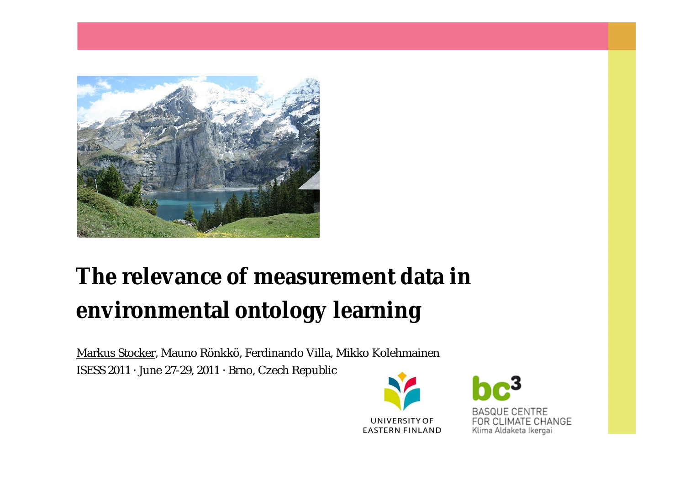

# **The relevance of measurement data in environmental ontology learning**

Markus Stocker, Mauno Rönkkö, Ferdinando Villa, Mikko Kolehmainen ISESS 2011 · June 27-29, 2011 · Brno, Czech Republic



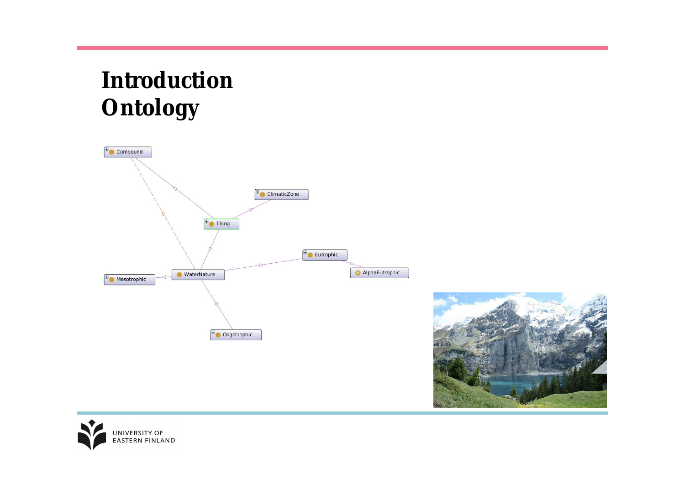# **Introduction Ontology**





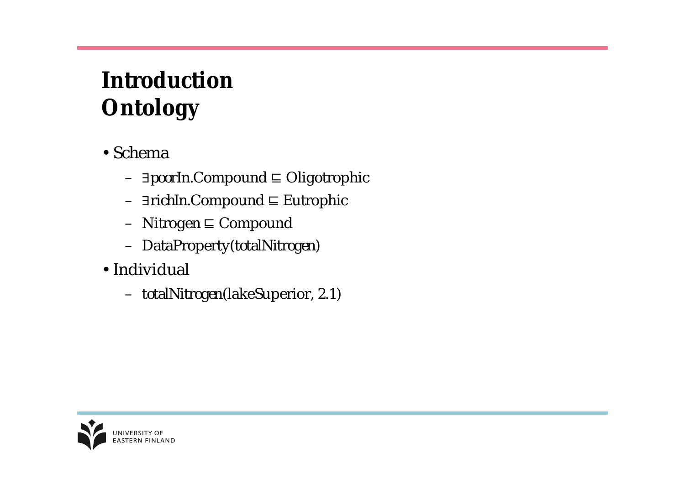# **Introduction Ontology**

- •Schema
	- *∃poorIn*.Compound ⊑ Oligotrophic
	- *∃richIn*.Compound ⊑ Eutrophic
	- $-$  Nitrogen  $\sqsubseteq$  Compound
	- DataProperty(*totalNitrogen*)
- •Individual
	- *totalNitrogen*(lakeSuperior, 2.1)

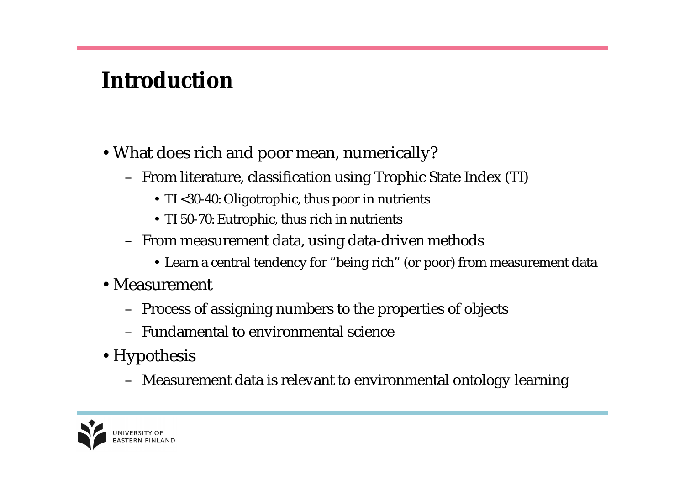## **Introduction**

- •What does rich and poor mean, numerically?
	- From literature, classification using Trophic State Index (TI)
		- TI <30-40: Oligotrophic, thus poor in nutrients
		- TI 50-70: Eutrophic, thus rich in nutrients
	- From measurement data, using data-driven methods
		- Learn a central tendency for "being rich" (or poor) from measurement data
- •Measurement
	- Process of assigning numbers to the properties of objects
	- Fundamental to environmental science
- •Hypothesis
	- Measurement data is relevant to environmental ontology learning

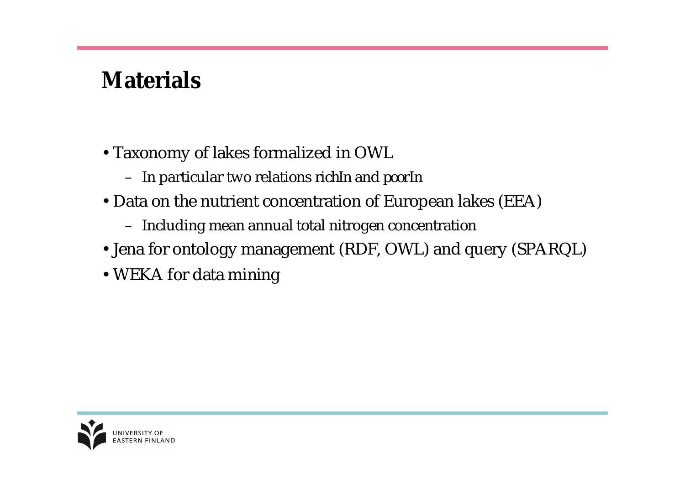# **Materials**

- •Taxonomy of lakes formalized in OWL
	- In particular two relations *richIn* and *poorIn*
- •Data on the nutrient concentration of European lakes (EEA)
	- Including mean annual total nitrogen concentration
- •Jena for ontology management (RDF, OWL) and query (SPARQL)
- •WEKA for data mining

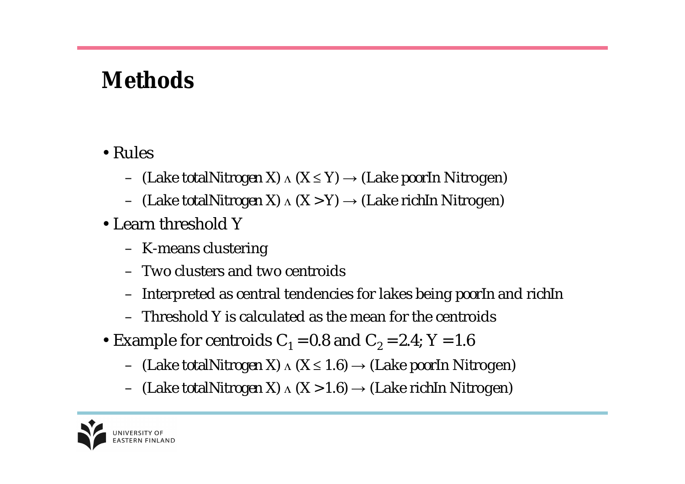## **Methods**

#### •Rules

- (Lake *totalNitrogen X*) ∧ (X ≤ Y) → (Lake *poorIn* Nitrogen)
- (Lake *totalNitrogen X*) ∧ (X > Y) → (Lake *richIn* Nitrogen)
- •Learn threshold Y
	- K-means clustering
	- Two clusters and two centroids
	- Interpreted as central tendencies for lakes being *poorIn* and *richIn*
	- Threshold Y is calculated as the mean for the centroids
- Example for centroids  $C_1$  = 0.8 and  $C_2$  = 2.4; Y = 1.6
	- $-$  (Lake *totalNitrogen* X)  $\Lambda$  (X  $\leq$  1.6)  $\rightarrow$  (Lake *poorIn* Nitrogen)
	- $-$  (Lake *totalNitrogen* X)  $\Lambda$  (X > 1.6)  $\rightarrow$  (Lake *richIn* Nitrogen)

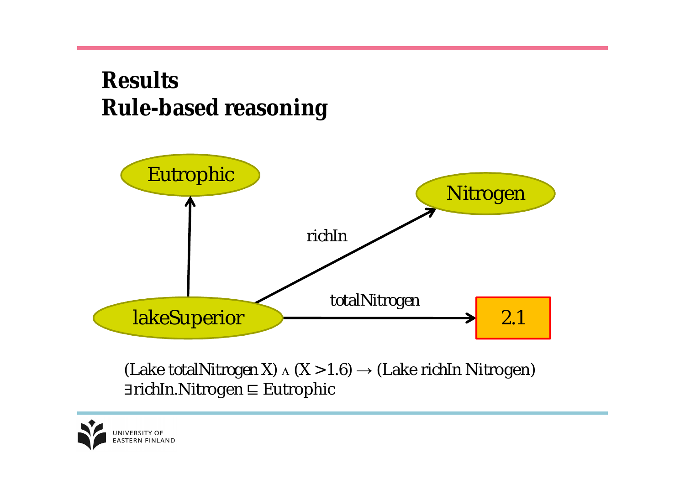# **Results Rule-based reasoning**



(Lake *totalNitrogen* X) ∧ (X > 1.6) → (Lake *richIn* Nitrogen) *∃richIn*.Nitrogen ⊑ Eutrophic

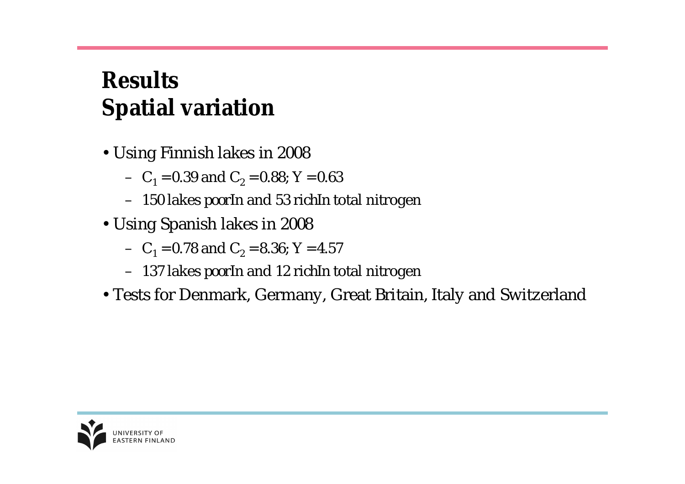# **Results Spatial variation**

- •Using Finnish lakes in 2008
	- $C_1$  = 0.39 and  $C_2$  = 0.88; Y = 0.63
	- 150 lakes *poorIn* and 53 *richIn* total nitrogen
- •Using Spanish lakes in 2008
	- $C_1$  = 0.78 and  $C_2$  = 8.36; Y = 4.57
	- 137 lakes *poorIn* and 12 *richIn* total nitrogen
- •Tests for Denmark, Germany, Great Britain, Italy and Switzerland

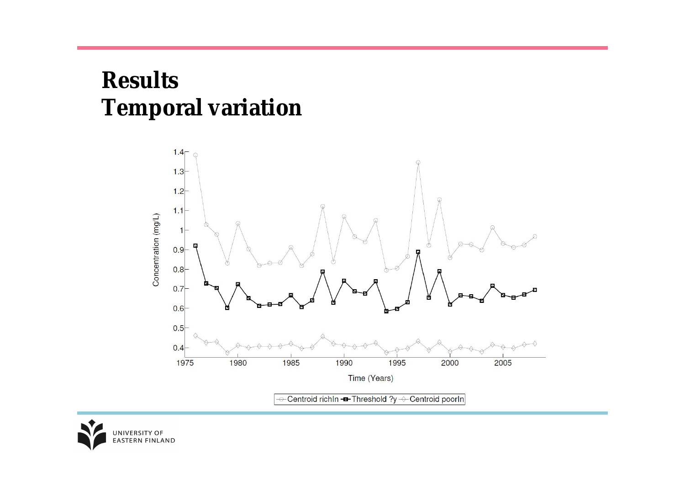# **Results Temporal variation**



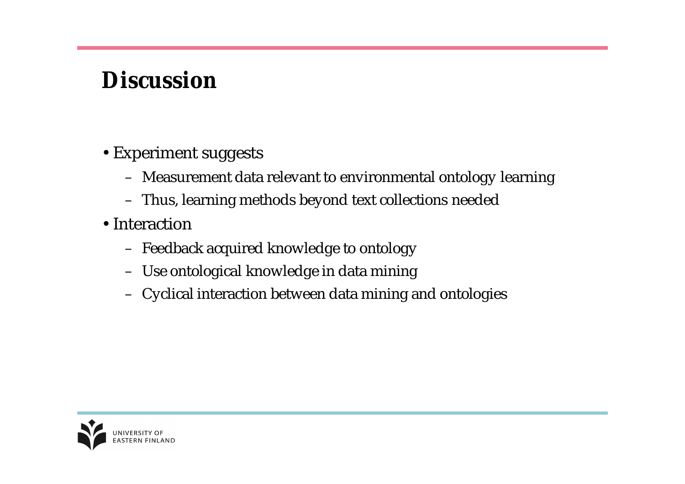# **Discussion**

- •Experiment suggests
	- Measurement data relevant to environmental ontology learning
	- Thus, learning methods beyond text collections needed
- Interaction
	- Feedback acquired knowledge to ontology
	- Use ontological knowledge in data mining
	- Cyclical interaction between data mining and ontologies

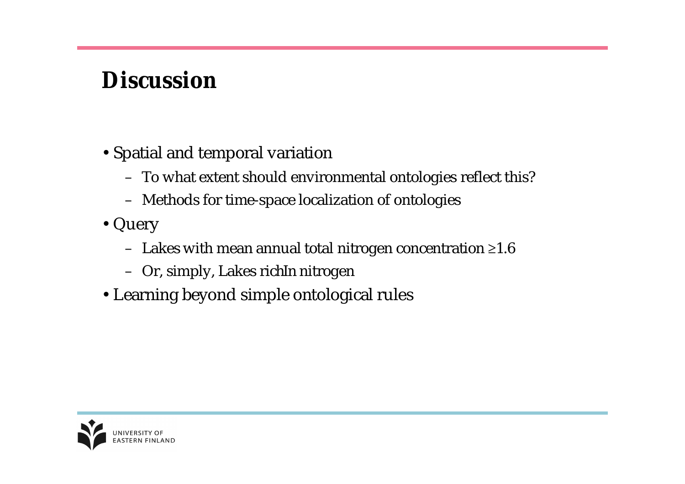# **Discussion**

- •Spatial and temporal variation
	- To what extent should environmental ontologies reflect this?
	- Methods for time-space localization of ontologies
- •Query
	- Lakes with mean annual total nitrogen concentration  $\geq 1.6$
	- Or, simply, Lakes *richIn* nitrogen
- •Learning beyond simple ontological rules

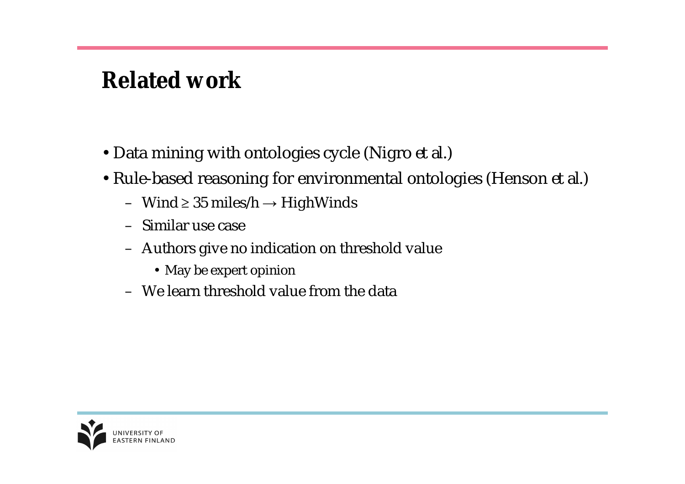### **Related work**

- •Data mining with ontologies cycle (Nigro *et al.*)
- •Rule-based reasoning for environmental ontologies (Henson *et al*.)
	- Wind  $\geq 35$  miles/h  $\rightarrow$  HighWinds
	- Similar use case
	- Authors give no indication on threshold value
		- May be expert opinion
	- We learn threshold value from the data

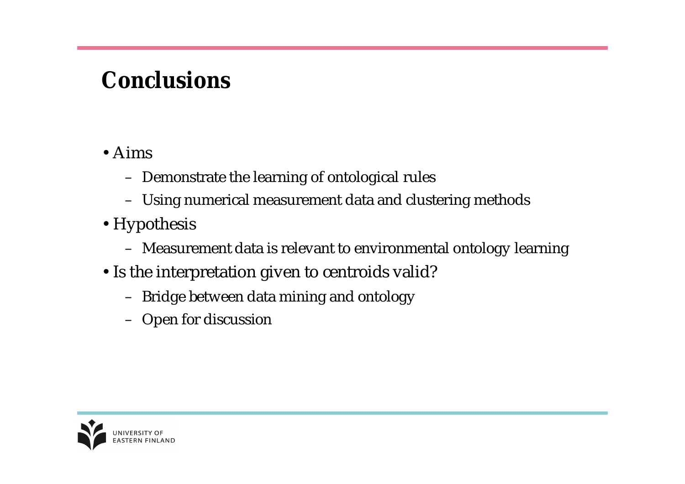### **Conclusions**

#### •Aims

- Demonstrate the learning of ontological rules
- Using numerical measurement data and clustering methods
- Hypothesis
	- Measurement data is relevant to environmental ontology learning
- Is the interpretation given to centroids valid?
	- Bridge between data mining and ontology
	- Open for discussion